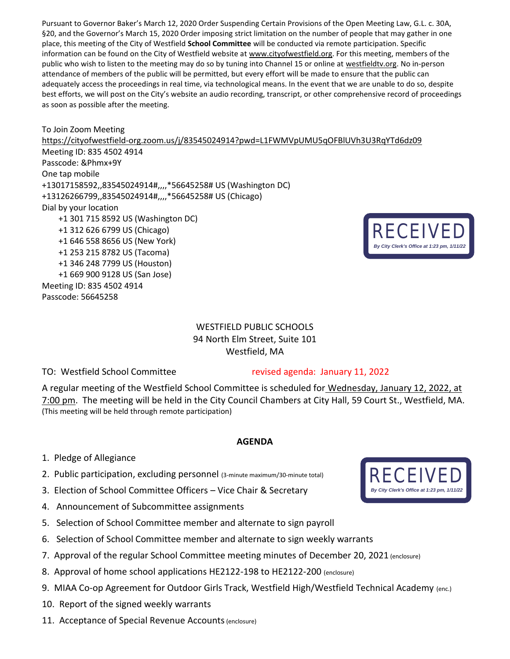Pursuant to Governor Baker's March 12, 2020 Order Suspending Certain Provisions of the Open Meeting Law, G.L. c. 30A, §20, and the Governor's March 15, 2020 Order imposing strict limitation on the number of people that may gather in one place, this meeting of the City of Westfield **School Committee** will be conducted via remote participation. Specific information can be found on the City of Westfield website at [www.cityofwestfield.org.](http://www.cityofwestfield.org/) For this meeting, members of the public who wish to listen to the meeting may do so by tuning into Channel 15 or online at [westfieldtv.org.](http://westfieldtv.org/) No in-person attendance of members of the public will be permitted, but every effort will be made to ensure that the public can adequately access the proceedings in real time, via technological means. In the event that we are unable to do so, despite best efforts, we will post on the City's website an audio recording, transcript, or other comprehensive record of proceedings as soon as possible after the meeting.

To Join Zoom Meeting <https://cityofwestfield-org.zoom.us/j/83545024914?pwd=L1FWMVpUMU5qOFBlUVh3U3RqYTd6dz09> Meeting ID: 835 4502 4914 Passcode: &Phmx+9Y One tap mobile +13017158592,,83545024914#,,,,\*56645258# US (Washington DC) +13126266799,,83545024914#,,,,\*56645258# US (Chicago) Dial by your location +1 301 715 8592 US (Washington DC) +1 312 626 6799 US (Chicago) +1 646 558 8656 US (New York) +1 253 215 8782 US (Tacoma) +1 346 248 7799 US (Houston) +1 669 900 9128 US (San Jose) Meeting ID: 835 4502 4914 Passcode: 56645258

## WESTFIELD PUBLIC SCHOOLS 94 North Elm Street, Suite 101 Westfield, MA

TO: Westfield School Committee revised agenda: January 11, 2022

A regular meeting of the Westfield School Committee is scheduled for Wednesday, January 12, 2022, at 7:00 pm. The meeting will be held in the City Council Chambers at City Hall, 59 Court St., Westfield, MA. (This meeting will be held through remote participation)

## **AGENDA**

- 1. Pledge of Allegiance
- 2. Public participation, excluding personnel (3-minute maximum/30-minute total)
- 3. Election of School Committee Officers Vice Chair & Secretary
- 4. Announcement of Subcommittee assignments
- 5. Selection of School Committee member and alternate to sign payroll
- 6. Selection of School Committee member and alternate to sign weekly warrants
- 7. Approval of the regular School Committee meeting minutes of December 20, 2021 (enclosure)
- 8. Approval of home school applications HE2122-198 to HE2122-200 (enclosure)
- 9. MIAA Co-op Agreement for Outdoor Girls Track, Westfield High/Westfield Technical Academy (enc.)
- 10. Report of the signed weekly warrants
- 11. Acceptance of Special Revenue Accounts (enclosure)